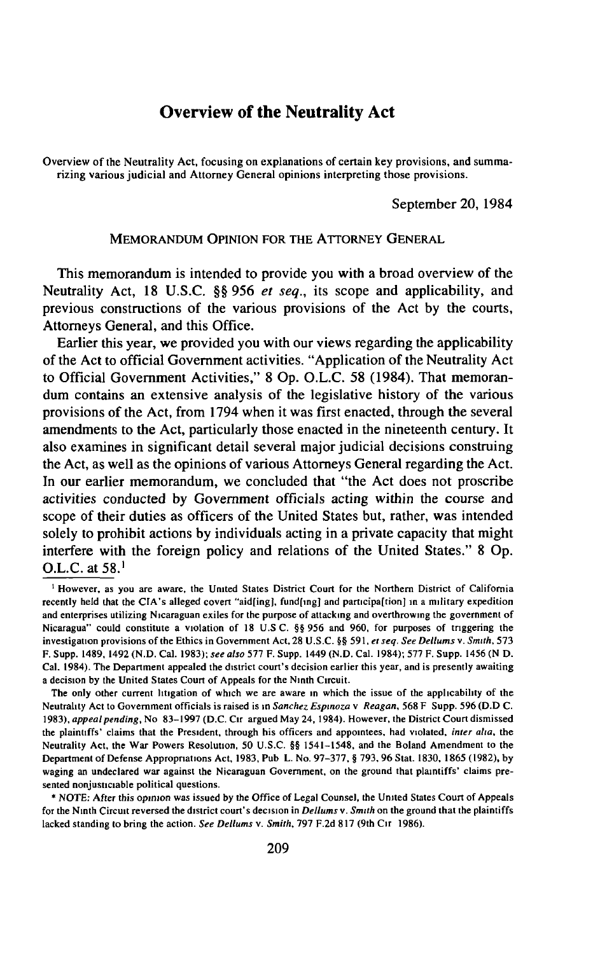# **Overview of the Neutrality Act**

Overview of the Neutrality Act, focusing on explanations of certain key provisions, and summarizing various judicial and Attorney General opinions interpreting those provisions.

September 20, 1984

#### MEMORANDUM OPINION FOR THE ATTORNEY GENERAL

This memorandum is intended to provide you with a broad overview of the Neutrality Act, 18 U.S.C. §§ 956 *et seq.,* its scope and applicability, and previous constructions of the various provisions of the Act by the courts, Attorneys General, and this Office.

Earlier this year, we provided you with our views regarding the applicability of the Act to official Government activities. "Application of the Neutrality Act to Official Government Activities," 8 Op. O.L.C. 58 (1984). That memorandum contains an extensive analysis of the legislative history of the various provisions of the Act, from 1794 when it was first enacted, through the several amendments to the Act, particularly those enacted in the nineteenth century. It also examines in significant detail several major judicial decisions construing the Act, as well as the opinions of various Attorneys General regarding the Act. In our earlier memorandum, we concluded that "the Act does not proscribe activities conducted by Government officials acting within the course and scope of their duties as officers of the United States but, rather, was intended solely to prohibit actions by individuals acting in a private capacity that might interfere with the foreign policy and relations of the United States." 8 Op. O.L.C. at 58.1

<sup>1</sup> However, as you are aware, the United States District Court for the Northern District of California recently held that the CIA's alleged covert "aid[ing], fund[ing] and participa[tion] in a military expedition and enterprises utilizing Nicaraguan exiles for the purpose of attacking and overthrowing the government of Nicaragua" could constitute a violation of 18 U.S C. §§ 956 and 960, for purposes of triggering the investigation provisions of the Ethics in Government Act, 28 U.S.C. §§ 591, et seq. See Dellums v. Smith, 573 F. Supp. 1489, 1492 (N.D. Cal. 1983); *see also* 577 F. Supp. 1449 (N.D. Cal. 1984); 577 F. Supp. 1456 (N D. Cal. 1984). The Department appealed the district court's decision earlier this year, and is presently awaiting a decision by the United States Court of Appeals for the Ninth Circuit.

The only other current litigation of which we are aware in which the issue of the applicability of the Neutrality Act to Government officials is raised is in *Sanchez Espinoza* v *Reagan*, 568 F Supp. 596 (D.D C. 1983), *appeal pending,* No 83-1997 (D.C. Cir argued May 24,1984). However, the District C ourt dismissed the plaintiffs' claims that the President, through his officers and appointees, had violated, *inter aha,* the Neutrality Act, the War Powers Resolution, 50 U.S.C. §§ 1541-1548, and the Boland Amendment to the Department of Defense Appropriations Act, 1983, Pub L. No. 97-377, § 793, 96 Stat. 1830, 1865 (1982), by waging an undeclared war against the Nicaraguan Government, on the ground that plaintiffs' claims presented nonjusticiable political questions.

<sup>\*</sup> NOTE: After this opinion was issued by the Office of Legal Counsel, the United States Court of Appeals for the Ninth Circuit reversed the district court's decision in *Dellums* v. *Smith* on the ground that the plaintiffs lacked standing to bring the action. *See Dellums v. Smith*, 797 F.2d 817 (9th C1r 1986).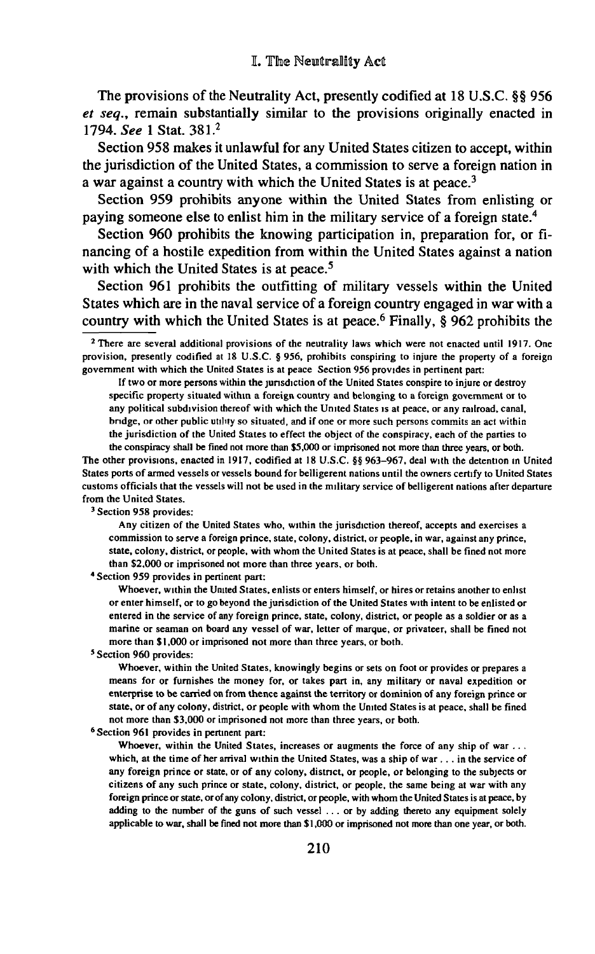The provisions of the Neutrality Act, presently codified at 18 U.S.C. §§ 956 *et seq.,* remain substantially similar to the provisions originally enacted in 1794. *See* 1 Stat. 381.2

Section 958 makes it unlawful for any United States citizen to accept, within the jurisdiction of the United States, a commission to serve a foreign nation in a war against a country with which the United States is at peace.<sup>3</sup>

Section 959 prohibits anyone within the United States from enlisting or paying someone else to enlist him in the military service of a foreign state.4

Section 960 prohibits the knowing participation in, preparation for, or financing of a hostile expedition from within the United States against a nation with which the United States is at peace.<sup>5</sup>

Section 961 prohibits the outfitting of military vessels within the United States which are in the naval service of a foreign country engaged in war with a country with which the United States is at peace.<sup>6</sup> Finally, § 962 prohibits the

If two or more persons within the jurisdiction of the United States conspire to injure or destroy specific property situated within a foreign country and belonging to a foreign government or to any political subdivision thereof with which the United States is at peace, or any railroad, canal, bridge, or other public utility so situated, and if one or more such persons commits an act within the jurisdiction of the United States to effect the object of the conspiracy, each of the parties to the conspiracy shall be fined not more than \$5,000 or imprisoned not more than three years, or both.

The other provisions, enacted in 1917, codified at 18 U.S.C. §§ 963-967, deal with the detention in United States ports of armed vessels or vessels bound for belligerent nations until the owners certify to United States customs officials that the vessels will not be used in the military service of belligerent nations after departure from the United States.

3 Section 958 provides:

Any citizen of the United States who, within the jurisdiction thereof, accepts and exercises a commission to serve a foreign prince, state, colony, district, or people, in war, against any prince, state, colony, district, or people, with whom the United States is at peace, shall be fined not more than \$2,000 or imprisoned not more than three years, or both.

4 Section 959 provides in pertinent part:

W hoever, within the United States, enlists or enters himself, or hires or retains another to enlist or enter himself, or to go beyond the jurisdiction of the United States with intent to be enlisted or entered in the service of any foreign prince, state, colony, district, or people as a soldier or as a marine or seaman on board any vessel of war, letter of marque, or privateer, shall be fined not more than \$1,000 or imprisoned not more than three years, or both.

5 Section 960 provides:

Whoever, within the United States, knowingly begins or sets on foot or provides or prepares a means for or furnishes the money for, or takes part in, any military or naval expedition or enterprise to be carried on from thence against the territory or dominion of any foreign prince or state, or of any colony, district, or people with whom the United States is at peace, shall be fined not more than \$3,000 or imprisoned not more than three years, or both.

6 Section 961 provides in pertinent part:

Whoever, within the United States, increases or augments the force of any ship of war  $\dots$ which, at the time of her arrival within the United States, was a ship of war  $\dots$  in the service of any foreign prince or state, or of any colony, district, or people, or belonging to the subjects or citizens of any such prince or state, colony, district, or people, the same being at war with any foreign prince or state, or of any colony, district, or people, with whom the United States is at peace, by adding to the number of the guns of such vessel . . . or by adding thereto any equipment solely applicable to war, shall be fined not more than \$1,000 or imprisoned not more than one year, or both.

 $2$  There are several additional provisions of the neutrality laws which were not enacted until 1917. One provision, presently codified at 18 U.S.C. § 956, prohibits conspiring to injure the property of a foreign government with which the United States is at peace Section 956 provides in pertinent part: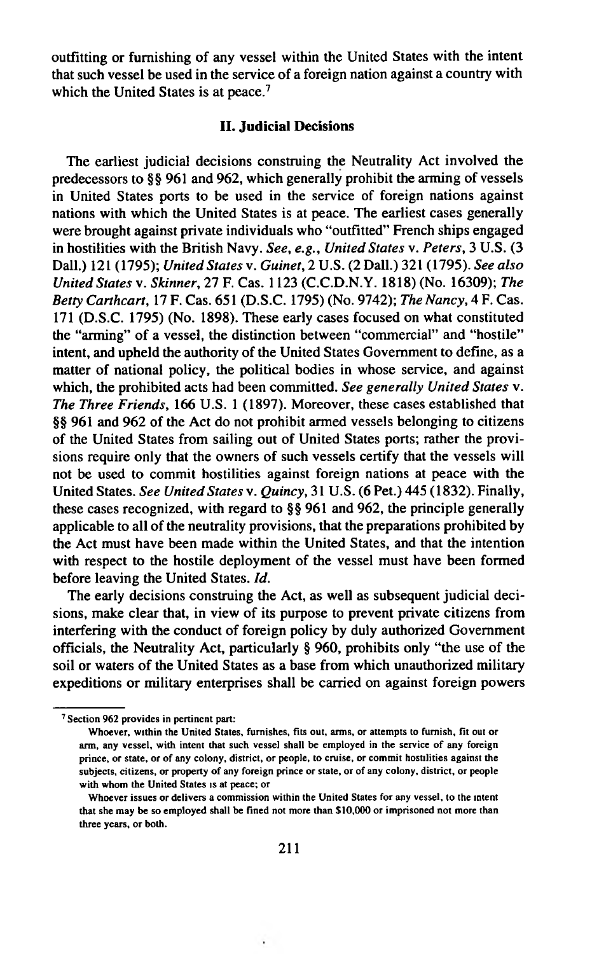outfitting or furnishing of any vessel within the United States with the intent that such vessel be used in the service of a foreign nation against a country with which the United States is at peace.<sup>7</sup>

#### **II. Judicial Decisions**

The earliest judicial decisions construing the Neutrality Act involved the predecessors to §§ 961 and 962, which generally prohibit the arming of vessels in United States ports to be used in the service of foreign nations against nations with which the United States is at peace. The earliest cases generally were brought against private individuals who "outfitted" French ships engaged in hostilities with the British Navy. *See, e.g., United States* v. *Peters,* 3 U.S. (3 Dali.) 121 (1795); *United States* v. *Guinet,* 2 U.S. (2 Dali.) 321 (1795). *See also United States* v. *Skinner,* 27 F. Cas. 1123 (C.C.D.N.Y. 1818) (No. 16309); *The Betty Carthcart,* 17 F. Cas. 651 (D.S.C. 1795) (No. 9742); *The Nancy,* 4 F. Cas. 171 (D.S.C. 1795) (No. 1898). These early cases focused on what constituted the "arming" of a vessel, the distinction between "commercial" and "hostile" intent, and upheld the authority of the United States Government to define, as a matter of national policy, the political bodies in whose service, and against which, the prohibited acts had been committed. *See generally United States* v. *The Three Friends,* 166 U.S. 1 (1897). Moreover, these cases established that §§ 961 and 962 of the Act do not prohibit armed vessels belonging to citizens of the United States from sailing out of United States ports; rather the provisions require only that the owners of such vessels certify that the vessels will not be used to commit hostilities against foreign nations at peace with the United States. *See United States* v. *Quincy,* 31 U.S. (6 Pet.) 445 (1832). Finally, these cases recognized, with regard to §§ 961 and 962, the principle generally applicable to all of the neutrality provisions, that the preparations prohibited by the Act must have been made within the United States, and that the intention with respect to the hostile deployment of the vessel must have been formed before leaving the United States. *Id.*

The early decisions construing the Act, as well as subsequent judicial decisions, make clear that, in view of its purpose to prevent private citizens from interfering with the conduct of foreign policy by duly authorized Government officials, the Neutrality Act, particularly § 960, prohibits only "the use of the soil or waters of the United States as a base from which unauthorized military expeditions or military enterprises shall be carried on against foreign powers

,

<sup>7</sup> Section 962 provides in pertinent part:

Whoever, within the United States, furnishes, fits out, arms, or attempts to furnish, fit out or arm, any vessel, with intent that such vessel shall be employed in the service of any foreign prince, or state, or of any colony, district, or people, to cruise, or commit hostilities against the subjects, citizens, or property of any foreign prince or state, or of any colony, district, or people with whom the United States is at peace; or

W hoever issues or delivers a commission within the United States for any vessel, to the intent that she may be so employed shall be fined not more than \$10,000 or imprisoned not more than three years, or both.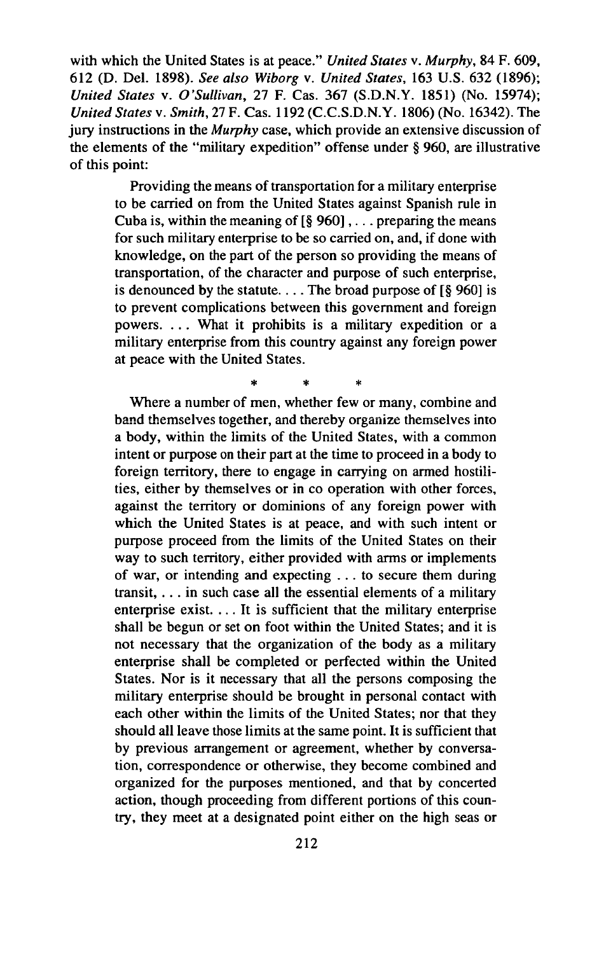with which the United States is at peace." *United States* v. *Murphy,* 84 F. 609, 612 (D. Del. 1898). *See also Wiborg* v. *United States,* 163 U.S. 632 (1896); *United States* v. *O 'Sullivan,* 27 F. Cas. 367 (S.D.N.Y. 1851) (No. 15974); *United States* v. *Smith,* 27F. Cas. 1192 (C.C.S.D.N.Y. 1806) (No. 16342). The jury instructions in the *Murphy* case, which provide an extensive discussion of the elements of the "military expedition" offense under § 960, are illustrative of this point:

Providing the means of transportation for a military enterprise to be carried on from the United States against Spanish rule in Cuba is, within the meaning of  $\lceil \frac{6}{5} \cdot 960 \rceil$ , ... preparing the means for such military enterprise to be so carried on, and, if done with knowledge, on the part of the person so providing the means of transportation, of the character and purpose of such enterprise, is denounced by the statute.... The broad purpose of  $\lceil \S$  960] is to prevent complications between this government and foreign powers. . . . What it prohibits is a military expedition or a military enterprise from this country against any foreign power at peace with the United States.

\* \* \*

Where a number of men, whether few or many, combine and band themselves together, and thereby organize themselves into a body, within the limits of the United States, with a common intent or purpose on their part at the time to proceed in a body to foreign territory, there to engage in carrying on armed hostilities, either by themselves or in co operation with other forces, against the territory or dominions of any foreign power with which the United States is at peace, and with such intent or purpose proceed from the limits of the United States on their way to such territory, either provided with arms or implements of war, or intending and expecting . . . to secure them during transit, . . . in such case all the essential elements of a military enterprise exist. ... It is sufficient that the military enterprise shall be begun or set on foot within the United States; and it is not necessary that the organization of the body as a military enterprise shall be completed or perfected within the United States. Nor is it necessary that all the persons composing the military enterprise should be brought in personal contact with each other within the limits of the United States; nor that they should all leave those limits at the same point. It is sufficient that by previous arrangement or agreement, whether by conversation, correspondence or otherwise, they become combined and organized for the purposes mentioned, and that by concerted action, though proceeding from different portions of this country, they meet at a designated point either on the high seas or

**212**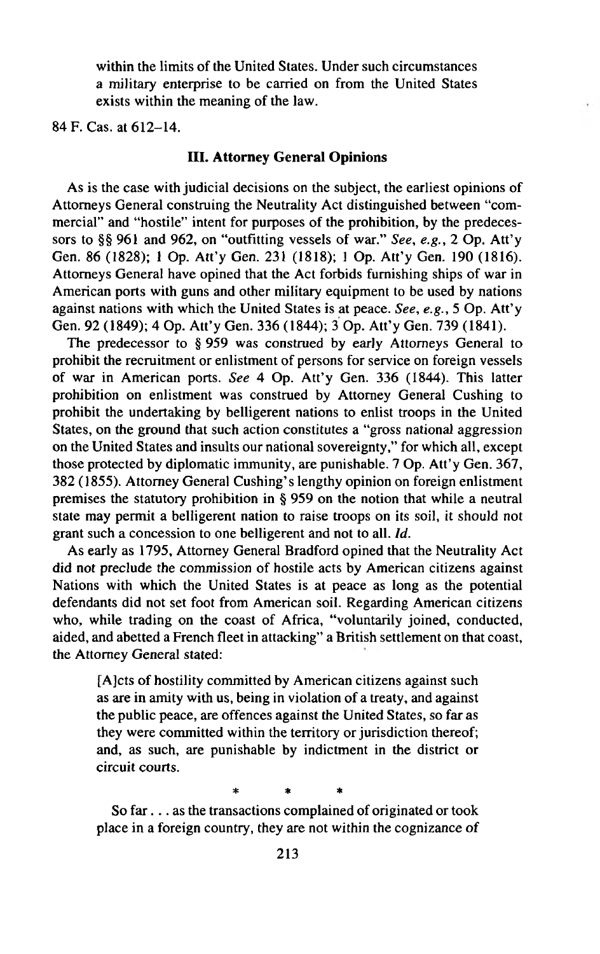within the limits of the United States. Under such circumstances a military enterprise to be carried on from the United States exists within the meaning of the law.

84 F. Cas. at 612-14.

### **III. Attorney General Opinions**

As is the case with judicial decisions on the subject, the earliest opinions of Attorneys General construing the Neutrality Act distinguished between "commercial" and "hostile" intent for purposes of the prohibition, by the predecessors to §§ 961 and 962, on "outfitting vessels of war." *See, e.g., 2* Op. Att'y Gen. 86 (1828); 1 Op. Att'y Gen. 231 (1818); 1 Op. Att'y Gen. 190 (1816). Attorneys General have opined that the Act forbids furnishing ships of war in American ports with guns and other military equipment to be used by nations against nations with which the United States is at peace. *See, e.g.,* 5 Op. Att'y Gen. 92 (1849); 4 Op. Att'y Gen. 336 (1844); 3 Op. Att'y Gen. 739 (1841).

The predecessor to § 959 was construed by early Attorneys General to prohibit the recruitment or enlistment of persons for service on foreign vessels of war in American ports. *See* 4 Op. Att'y Gen. 336 (1844). This latter prohibition on enlistment was construed by Attorney General Cushing to prohibit the undertaking by belligerent nations to enlist troops in the United States, on the ground that such action constitutes a "gross national aggression on the United States and insults our national sovereignty," for which all, except those protected by diplomatic immunity, are punishable. 7 Op. Att'y Gen. 367, 382 (1855). Attorney General Cushing's lengthy opinion on foreign enlistment premises the statutory prohibition in § 959 on the notion that while a neutral state may permit a belligerent nation to raise troops on its soil, it should not grant such a concession to one belligerent and not to all. *Id.*

As early as 1795, Attorney General Bradford opined that the Neutrality Act did not preclude the commission of hostile acts by American citizens against Nations with which the United States is at peace as long as the potential defendants did not set foot from American soil. Regarding American citizens who, while trading on the coast of Africa, "voluntarily joined, conducted, aided, and abetted a French fleet in attacking" a British settlement on that coast, the Attorney General stated:

[AJcts of hostility committed by American citizens against such as are in amity with us, being in violation of a treaty, and against the public peace, are offences against the United States, so far as they were committed within the territory or jurisdiction thereof; and, as such, are punishable by indictment in the district or circuit courts.

\* \* \*

So far... as the transactions complained of originated or took place in a foreign country, they are not within the cognizance of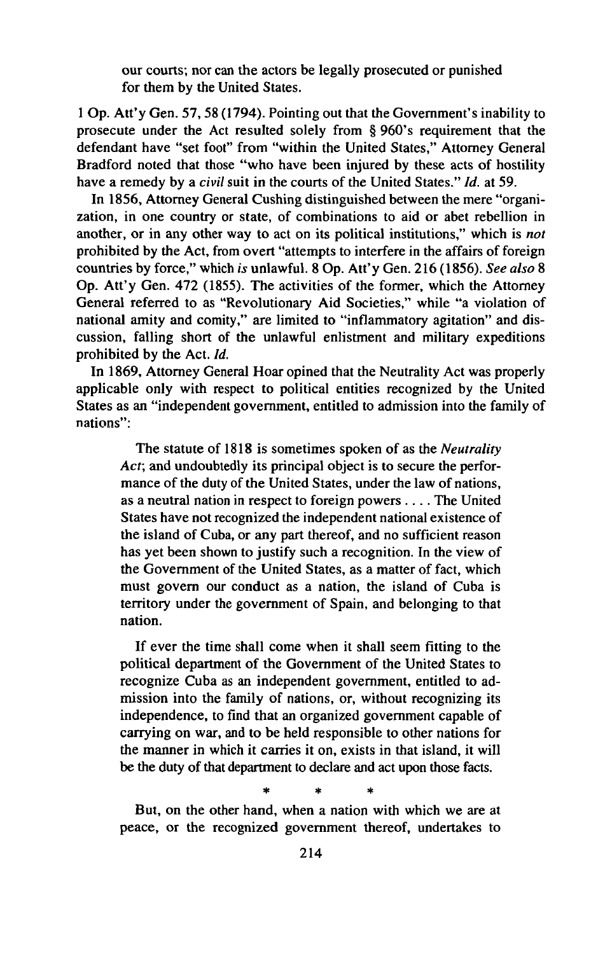our courts; nor can the actors be legally prosecuted or punished for them by the United States.

1 Op. Att'y Gen. 57,58 (1794). Pointing out that the Government's inability to prosecute under the Act resulted solely from § 960's requirement that the defendant have "set foot" from "within the United States," Attorney General Bradford noted that those "who have been injured by these acts of hostility have a remedy by a *civil* suit in the courts of the United States." *Id.* at 59.

In 1856, Attorney General Cushing distinguished between the mere "organization, in one country or state, of combinations to aid or abet rebellion in another, or in any other way to act on its political institutions," which is *not* prohibited by the Act, from overt "attempts to interfere in the affairs of foreign countries by force," which *is* unlawful. 8 Op. Att'y Gen. 216 (1856). *See also* 8 Op. Att'y Gen. 472 (1855). The activities of the former, which the Attorney General referred to as "Revolutionary Aid Societies," while "a violation of national amity and comity," are limited to "inflammatory agitation" and discussion, falling short of the unlawful enlistment and military expeditions prohibited by the Act. *Id.*

In 1869, Attorney General Hoar opined that the Neutrality Act was properly applicable only with respect to political entities recognized by the United States as an "independent government, entitled to admission into the family of nations";

The statute of 1818 is sometimes spoken of as the *Neutrality Acf,* and undoubtedly its principal object is to secure the performance of the duty of the United States, under the law of nations, as a neutral nation in respect to foreign powers .... The United States have not recognized the independent national existence of the island of Cuba, or any part thereof, and no sufficient reason has yet been shown to justify such a recognition. In the view of the Government of the United States, as a matter of fact, which must govern our conduct as a nation, the island of Cuba is territory under the government of Spain, and belonging to that nation.

If ever the time shall come when it shall seem fitting to the political department of the Government of the United States to recognize Cuba as an independent government, entitled to admission into the family of nations, or, without recognizing its independence, to find that an organized government capable of carrying on war, and to be held responsible to other nations for the manner in which it carries it on, exists in that island, it will be the duty of that department to declare and act upon those facts.

\* \* \*

But, on the other hand, when a nation with which we are at peace, or the recognized government thereof, undertakes to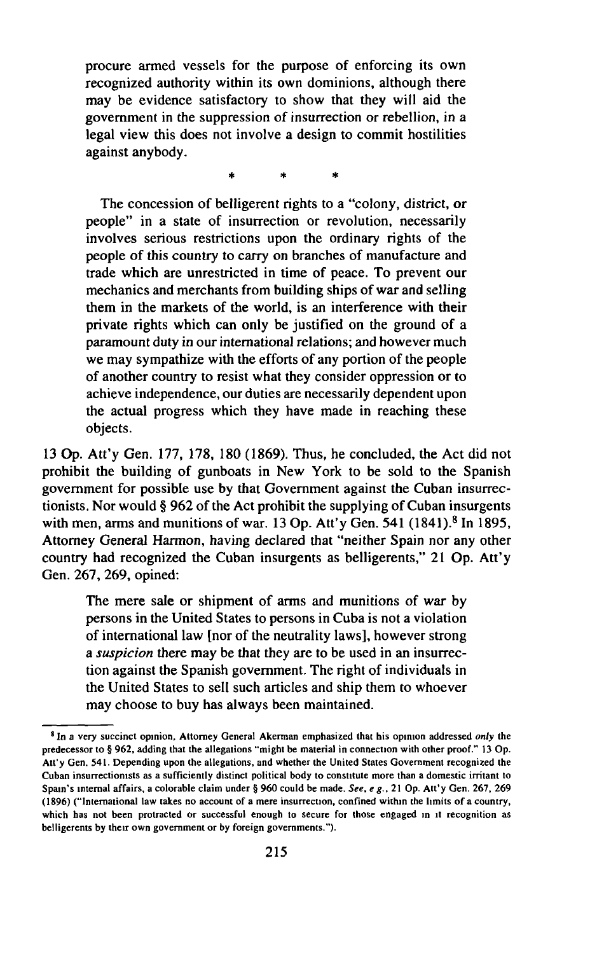procure armed vessels for the purpose of enforcing its own recognized authority within its own dominions, although there may be evidence satisfactory to show that they will aid the government in the suppression of insurrection or rebellion, in a legal view this does not involve a design to commit hostilities against anybody.

\* \* \*

The concession of belligerent rights to a "colony, district, or people" in a state of insurrection or revolution, necessarily involves serious restrictions upon the ordinary rights of the people of this country to carry on branches of manufacture and trade which are unrestricted in time of peace. To prevent our mechanics and merchants from building ships of war and selling them in the markets of the world, is an interference with their private rights which can only be justified on the ground of a paramount duty in our international relations; and however much we may sympathize with the efforts of any portion of the people of another country to resist what they consider oppression or to achieve independence, our duties are necessarily dependent upon the actual progress which they have made in reaching these objects.

13 Op. Att'y Gen. 177, 178, 180 (1869). Thus, he concluded, the Act did not prohibit the building of gunboats in New York to be sold to the Spanish government for possible use by that Government against the Cuban insurrectionists. Nor would § 962 of the Act prohibit the supplying of Cuban insurgents with men, arms and munitions of war. 13 Op. Att'y Gen.  $541$  (1841).<sup>8</sup> In 1895, Attorney General Harmon, having declared that "neither Spain nor any other country had recognized the Cuban insurgents as belligerents," 21 Op. Att'y Gen. 267, 269, opined:

The mere sale or shipment of arms and munitions of war by persons in the United States to persons in Cuba is not a violation of international law [nor of the neutrality laws], however strong a *suspicion* there may be that they are to be used in an insurrection against the Spanish government. The right of individuals in the United States to sell such articles and ship them to whoever may choose to buy has always been maintained.

<sup>8</sup> In *a very* succinct opinion. Attorney General Akerman emphasized that his opinion addressed *only* the predecessor to § 962, adding that the allegations "might be material in connection with other proof." 13 Op. Att'y Gen. 541. Depending upon the allegations, and whether the United States Government recognized the Cuban insurrectionists as a sufficiently distinct political body to constitute more than a domestic irritant to Spain's internal affairs, a colorable claim under § 960 could be made. *See, e g.,* 21 Op. A tt'y Gen. 267, 269 (1896) ("International law takes no account of a mere insurrection, confined within the limits of a country, which has not been protracted or successful enough to secure for those engaged in it recognition as belligerents by their own government or by foreign governments.").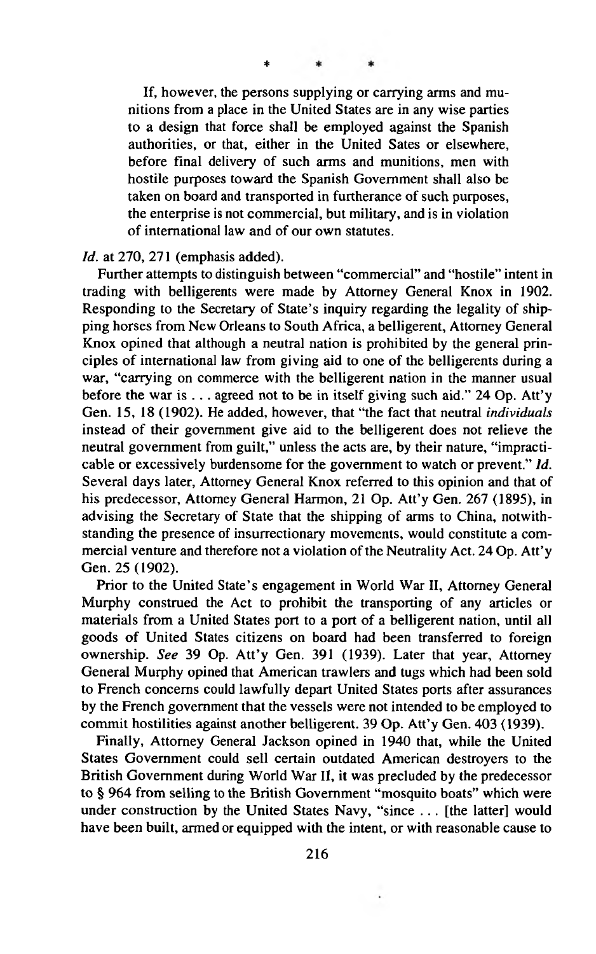**\***

If, however, the persons supplying or carrying arms and munitions from a place in the United States are in any wise parties to a design that force shall be employed against the Spanish authorities, or that, either in the United Sates or elsewhere, before final delivery of such arms and munitions, men with hostile purposes toward the Spanish Government shall also be taken on board and transported in furtherance of such purposes, the enterprise is not commercial, but military, and is in violation of international law and of our own statutes.

*Id.* at 270, 271 (emphasis added).

Further attempts to distinguish between "commercial" and "hostile" intent in trading with belligerents were made by Attorney General Knox in 1902. Responding to the Secretary of State's inquiry regarding the legality of shipping horses from New Orleans to South Africa, a belligerent, Attorney General Knox opined that although a neutral nation is prohibited by the general principles of international law from giving aid to one of the belligerents during a war, "carrying on commerce with the belligerent nation in the manner usual before the war is . . . agreed not to be in itself giving such aid." 24 Op. Att'y Gen. 15, 18 (1902). He added, however, that "the fact that neutral *individuals* instead of their government give aid to the belligerent does not relieve the neutral government from guilt," unless the acts are, by their nature, "impracticable or excessively burdensome for the government to watch or prevent." *Id.* Several days later, Attorney General Knox referred to this opinion and that of his predecessor, Attorney General Harmon, 21 Op. Att'y Gen. 267 (1895), in advising the Secretary of State that the shipping of arms to China, notwithstanding the presence of insurrectionary movements, would constitute a commercial venture and therefore not a violation of the Neutrality Act. 24 Op. Att'y Gen. 25 (1902).

Prior to the United State's engagement in World War II, Attorney General Murphy construed the Act to prohibit the transporting of any articles or materials from a United States port to a port of a belligerent nation, until all goods of United States citizens on board had been transferred to foreign ownership. *See* 39 Op. Att'y Gen. 391 (1939). Later that year, Attorney General Murphy opined that American trawlers and tugs which had been sold to French concerns could lawfully depart United States ports after assurances by the French government that the vessels were not intended to be employed to commit hostilities against another belligerent. 39 Op. Att'y Gen. 403 (1939).

Finally, Attorney General Jackson opined in 1940 that, while the United States Government could sell certain outdated American destroyers to the British Government during World War II, it was precluded by the predecessor to § 964 from selling to the British Government "mosquito boats" which were under construction by the United States Navy, "since . . . [the latter] would have been built, armed or equipped with the intent, or with reasonable cause to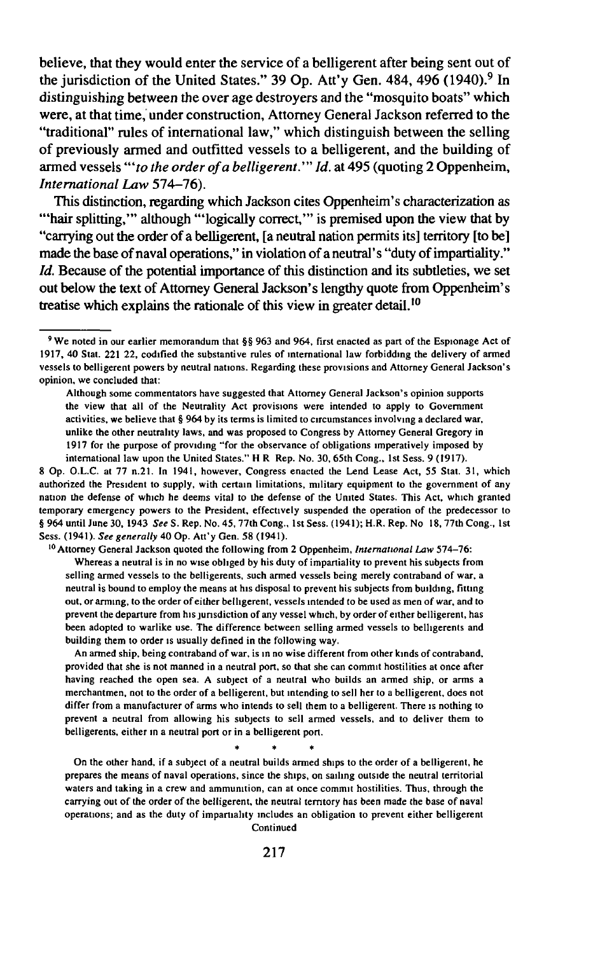believe, that they would enter the service of a belligerent after being sent out of the jurisdiction of the United States." 39 Op. Att'y Gen. 484, 496 (1940).<sup>9</sup> In distinguishing between the over age destroyers and the "mosquito boats" which were, at that time, under construction, Attorney General Jackson referred to the "traditional" rules of international law," which distinguish between the selling of previously armed and outfitted vessels to a belligerent, and the building of armed vessels "to the order of a belligerent." Id. at 495 (quoting 2 Oppenheim, *International Law* 574-76).

This distinction, regarding which Jackson cites Oppenheim's characterization as '"hair splitting,"' although "'logically correct,'" is premised upon the view that by "carrying out the order of a belligerent, [a neutral nation permits its] territory [to be] made the base of naval operations," in violation of a neutral's "duty of impartiality." *Id.* Because of the potential importance of this distinction and its subtleties, we set out below the text of Attorney General Jackson's lengthy quote from Oppenheim's treatise which explains the rationale of this view in greater detail.<sup>10</sup>

8 Op. O.L.C. at 77 n.21. In 1941, however, Congress enacted the Lend Lease Act, 55 Stat. 31, which authorized the President to supply, with certain limitations, military equipment to the government of any nation the defense of which he deems vita) to the defense of the United States. This Act, which granted temporary emergency powers to the President, effectively suspended the operation of the predecessor to § 964 until June 30, 1943 *See* S. Rep. No. 45, 77th Cong., 1st Sess. (1941); H.R. Rep. No 18, 77th Cong., 1st Sess. (1941). *See generally* 40 Op. Att'y Gen. 58 (1941).

10 Attorney General Jackson quoted the following from 2 Oppenheim, *International Law* 574-76:

Whereas a neutral is in no wise obliged by his duty of impartiality to prevent his subjects from selling armed vessels to the belligerents, such armed vessels being merely contraband of war, a neutral is bound to employ the means at his disposal to prevent his subjects from building, fitting out, or arming, to the order of either belligerent, vessels intended to be used as men of war, and to prevent the departure from his jurisdiction of any vessel which, by order of either belligerent, has been adopted to warlike use. The difference between selling armed vessels to belligerents and building them to order is usually defined in the following way.

An armed ship, being contraband of war, is in no wise different from other kinds of contraband, provided that she is not manned in a neutral port, so that she can commit hostilities at once after having reached the open sea. A subject of a neutral who builds an armed ship, or arms a merchantmen, not to the order of a belligerent, but intending to sell her to a belligerent, does not differ from a manufacturer of arms who intends to sell them to a belligerent. There is nothing to prevent a neutral from allowing his subjects to sell armed vessels, and to deliver them to belligerents, either in a neutral port or in a belligerent port.

\* \* \*

On the other hand, if a subject of a neutral builds armed ships to the order of a belligerent, he prepares the means of naval operations, since the ships, on sailing outside the neutral territorial waters and taking in a crew and ammunition, can at once commit hostilities. Thus, through the carrying out of the order of the belligerent, the neutral territory has been made the base of naval operations; and as the duty of impartiality includes an obligation to prevent either belligerent Continued

<sup>&</sup>lt;sup>9</sup> We noted in our earlier memorandum that §§ 963 and 964, first enacted as part of the Espionage Act of 1917, 40 Stat. 221 22, codified the substantive rules of international law forbidding the delivery of armed vessels to belligerent powers by neutral nations. Regarding these provisions and Attorney General Jackson's opinion, we concluded that:

Although some commentators have suggested that Attorney General Jackson's opinion supports the view that all of the Neutrality Act provisions were intended to apply to Government activities, we believe that § 964 by its terms is limited to circumstances involving a declared war, unlike the other neutrality laws, and was proposed to Congress by Attorney General Gregory in 1917 for the purpose of providing "for the observance of obligations imperatively imposed by international law upon the United States." H R Rep. No. 30, 65th Cong., 1st Sess. 9 (1917).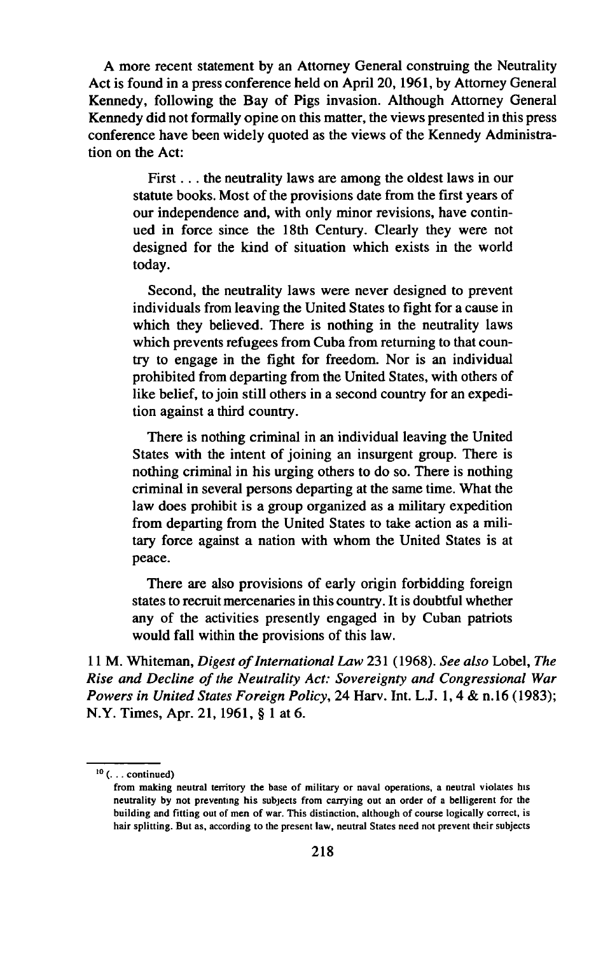A more recent statement by an Attorney General construing the Neutrality Act is found in a press conference held on April 20,1961, by Attorney General Kennedy, following the Bay of Pigs invasion. Although Attorney General Kennedy did not formally opine on this matter, the views presented in this press conference have been widely quoted as the views of the Kennedy Administration on the Act:

First... the neutrality laws are among the oldest laws in our statute books. Most of the provisions date from the first years of our independence and, with only minor revisions, have continued in force since the 18th Century. Clearly they were not designed for the kind of situation which exists in the world today.

Second, the neutrality laws were never designed to prevent individuals from leaving the United States to fight for a cause in which they believed. There is nothing in the neutrality laws which prevents refugees from Cuba from returning to that country to engage in the fight for freedom. Nor is an individual prohibited from departing from the United States, with others of like belief, to join still others in a second country for an expedition against a third country.

There is nothing criminal in an individual leaving the United States with the intent of joining an insurgent group. There is nothing criminal in his urging others to do so. There is nothing criminal in several persons departing at the same time. What the law does prohibit is a group organized as a military expedition from departing from the United States to take action as a military force against a nation with whom the United States is at peace.

There are also provisions of early origin forbidding foreign states to recruit mercenaries in this country. It is doubtful whether any of the activities presently engaged in by Cuban patriots would fall within the provisions of this law.

11 M. Whiteman, *Digest of International Law* 231 (1968). See also Lobel, The **Rise and Decline of the Neutrality Act: Sovereignty and Congressional War** *Powers in United States Foreign Policy,* 24 Harv. Int. L.J. 1,4 & n.16 (1983); N.Y. Times, Apr. 21,1961, § 1 at 6.

<sup>10 (...</sup> continued)

from making neutral territory the base of military or naval operations, a neutral violates his neutrality by not preventing his subjects from carrying out an order of a belligerent for the building and fitting out of men of war. This distinction, although of course logically correct, is hair splitting. But as, according to the present law, neutral States need not prevent their subjects